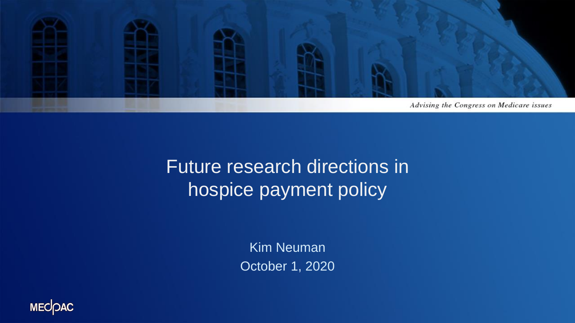

## Future research directions in hospice payment policy

Kim Neuman October 1, 2020

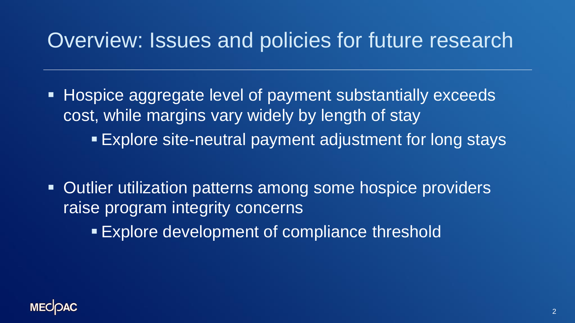## Overview: Issues and policies for future research

- Hospice aggregate level of payment substantially exceeds cost, while margins vary widely by length of stay **Explore site-neutral payment adjustment for long stays**
- **EXECTE:** Outlier utilization patterns among some hospice providers raise program integrity concerns
	- **Explore development of compliance threshold**

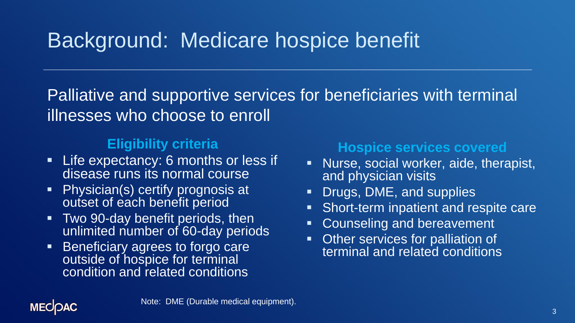## Background: Medicare hospice benefit

Palliative and supportive services for beneficiaries with terminal illnesses who choose to enroll

#### **Eligibility criteria**

- **EXECTED EXPECTANCY: 6 months or less if** disease runs its normal course
- Physician(s) certify prognosis at outset of each benefit period
- **Two 90-day benefit periods, then** unlimited number of 60-day periods
- Beneficiary agrees to forgo care outside of hospice for terminal condition and related conditions

#### **Hospice services covered**

- **EXEC** Nurse, social worker, aide, therapist, and physician visits
- Drugs, DME, and supplies
- Short-term inpatient and respite care
- Counseling and bereavement
- **Other services for palliation of** terminal and related conditions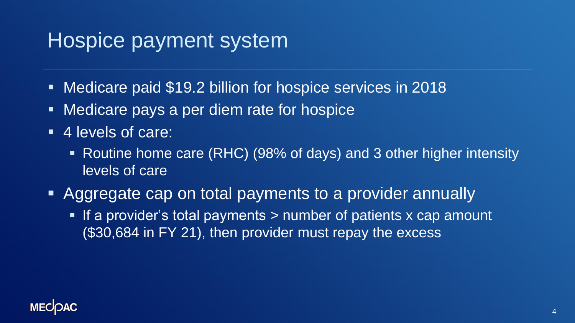## Hospice payment system

- Medicare paid \$19.2 billion for hospice services in 2018
- Medicare pays a per diem rate for hospice
- 4 levels of care:
	- Routine home care (RHC) (98% of days) and 3 other higher intensity levels of care
- **EXAggregate cap on total payments to a provider annually** 
	- **EXTE:** If a provider's total payments > number of patients x cap amount (\$30,684 in FY 21), then provider must repay the excess

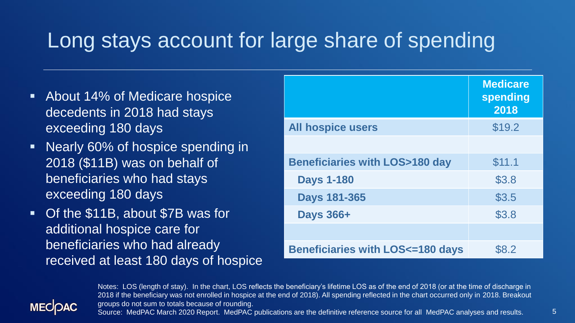## Long stays account for large share of spending

- About 14% of Medicare hospice decedents in 2018 had stays exceeding 180 days
- Nearly 60% of hospice spending in 2018 (\$11B) was on behalf of beneficiaries who had stays exceeding 180 days
- Of the \$11B, about \$7B was for additional hospice care for beneficiaries who had already received at least 180 days of hospice

|                                            | <b>Medicare</b><br>spending<br>2018 |
|--------------------------------------------|-------------------------------------|
| <b>All hospice users</b>                   | \$19.2                              |
|                                            |                                     |
| <b>Beneficiaries with LOS&gt;180 day</b>   | \$11.1                              |
| <b>Days 1-180</b>                          | \$3.8                               |
| <b>Days 181-365</b>                        | \$3.5                               |
| <b>Days 366+</b>                           | \$3.8                               |
|                                            |                                     |
| <b>Beneficiaries with LOS&lt;=180 days</b> | \$8.2                               |



Notes: LOS (length of stay). In the chart, LOS reflects the beneficiary's lifetime LOS as of the end of 2018 (or at the time of discharge in 2018 if the beneficiary was not enrolled in hospice at the end of 2018). All spending reflected in the chart occurred only in 2018. Breakout groups do not sum to totals because of rounding.

Source: MedPAC March 2020 Report. MedPAC publications are the definitive reference source for all MedPAC analyses and results.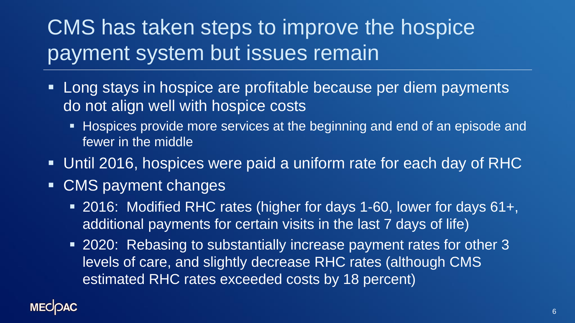# CMS has taken steps to improve the hospice payment system but issues remain

- Long stays in hospice are profitable because per diem payments do not align well with hospice costs
	- **EXPERCIATE:** Hospices provide more services at the beginning and end of an episode and fewer in the middle
- Until 2016, hospices were paid a uniform rate for each day of RHC
- CMS payment changes
	- 2016: Modified RHC rates (higher for days 1-60, lower for days 61+, additional payments for certain visits in the last 7 days of life)
	- 2020: Rebasing to substantially increase payment rates for other 3 levels of care, and slightly decrease RHC rates (although CMS estimated RHC rates exceeded costs by 18 percent)

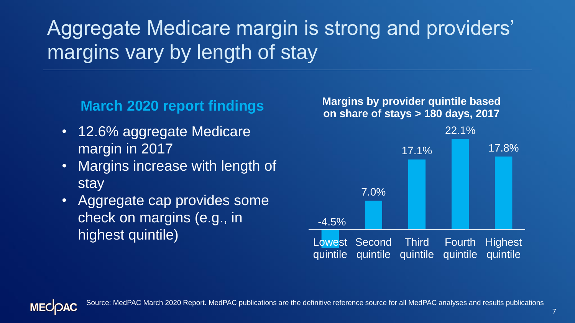## Aggregate Medicare margin is strong and providers' margins vary by length of stay

- 12.6% aggregate Medicare margin in 2017
- Margins increase with length of stay
- Aggregate cap provides some check on margins (e.g., in highest quintile)

**Margins by provider quintile based on share of stays > 180 days, 2017 March 2020 report findings**



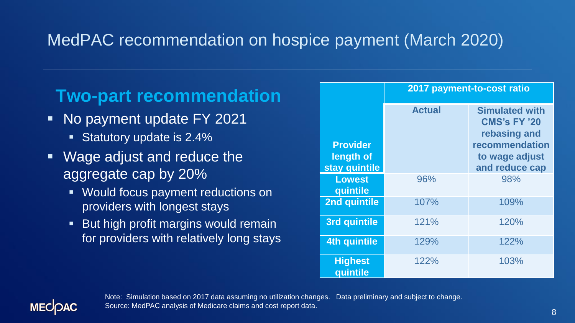## MedPAC recommendation on hospice payment (March 2020)

## **Two-part recommendation**

- No payment update FY 2021
	- **EXECUTE:** Statutory update is 2.4%
- Wage adjust and reduce the aggregate cap by 20%
	- Would focus payment reductions on providers with longest stays
	- But high profit margins would remain for providers with relatively long stays

|                              | 2017 payment-to-cost ratio |                                                              |
|------------------------------|----------------------------|--------------------------------------------------------------|
|                              | <b>Actual</b>              | <b>Simulated with</b><br><b>CMS's FY '20</b><br>rebasing and |
| <b>Provider</b><br>length of |                            | recommendation<br>to wage adjust                             |
| stay quintile                |                            | and reduce cap                                               |
| <b>Lowest</b><br>quintile    | 96%                        | 98%                                                          |
| 2nd quintile                 | 107%                       | 109%                                                         |
| <b>3rd quintile</b>          | 121%                       | 120%                                                         |
| <b>4th quintile</b>          | 129%                       | 122%                                                         |
| <b>Highest</b><br>quintile   | 122%                       | 103%                                                         |



Note: Simulation based on 2017 data assuming no utilization changes. Data preliminary and subject to change. Source: MedPAC analysis of Medicare claims and cost report data.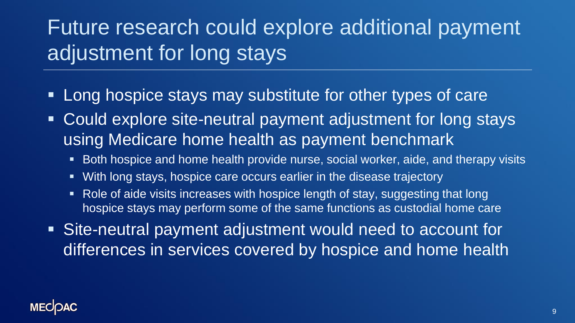# Future research could explore additional payment adjustment for long stays

- **Long hospice stays may substitute for other types of care**
- Could explore site-neutral payment adjustment for long stays using Medicare home health as payment benchmark
	- Both hospice and home health provide nurse, social worker, aide, and therapy visits
	- With long stays, hospice care occurs earlier in the disease trajectory
	- Role of aide visits increases with hospice length of stay, suggesting that long hospice stays may perform some of the same functions as custodial home care
- Site-neutral payment adjustment would need to account for differences in services covered by hospice and home health

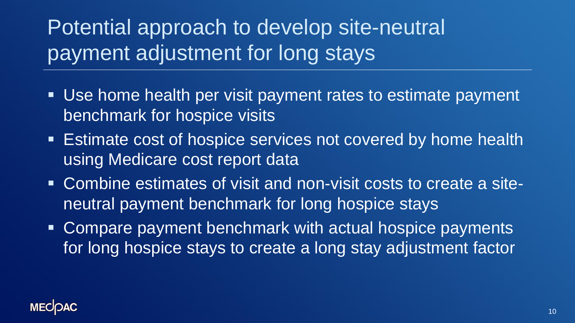# Potential approach to develop site-neutral payment adjustment for long stays

- Use home health per visit payment rates to estimate payment benchmark for hospice visits
- **Estimate cost of hospice services not covered by home health** using Medicare cost report data
- Combine estimates of visit and non-visit costs to create a siteneutral payment benchmark for long hospice stays
- Compare payment benchmark with actual hospice payments for long hospice stays to create a long stay adjustment factor

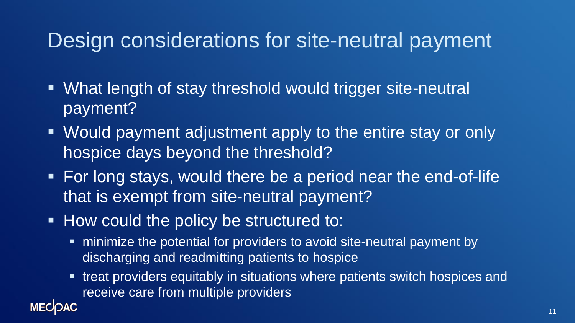## Design considerations for site-neutral payment

- What length of stay threshold would trigger site-neutral payment?
- Would payment adjustment apply to the entire stay or only hospice days beyond the threshold?
- For long stays, would there be a period near the end-of-life that is exempt from site-neutral payment?
- **. How could the policy be structured to:**

**MECOAC** 

- minimize the potential for providers to avoid site-neutral payment by discharging and readmitting patients to hospice
- treat providers equitably in situations where patients switch hospices and receive care from multiple providers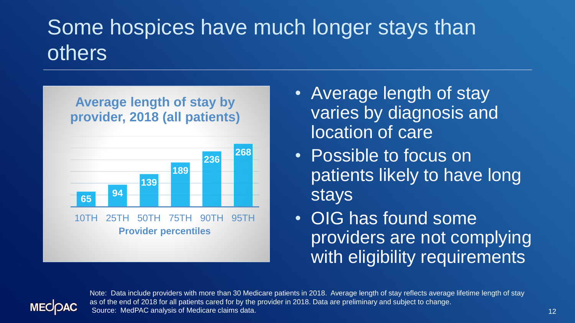# Some hospices have much longer stays than others

### **Average length of stay by provider, 2018 (all patients)**



stays

**Provider percentiles**

- Average length of stay varies by diagnosis and location of care
- Possible to focus on patients likely to have long
- OIG has found some providers are not complying with eligibility requirements



Note: Data include providers with more than 30 Medicare patients in 2018. Average length of stay reflects average lifetime length of stay as of the end of 2018 for all patients cared for by the provider in 2018. Data are preliminary and subject to change. Source: MedPAC analysis of Medicare claims data.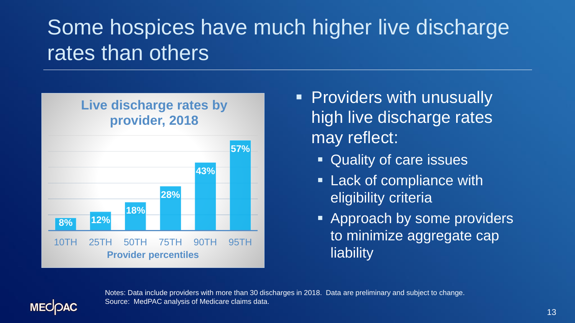# Some hospices have much higher live discharge rates than others



- **Providers with unusually** high live discharge rates may reflect:
	- Quality of care issues
	- **Example 1 Lack of compliance with** eligibility criteria
	- **EXPREGACE Approach by some providers** to minimize aggregate cap **liability**



Notes: Data include providers with more than 30 discharges in 2018. Data are preliminary and subject to change. Source: MedPAC analysis of Medicare claims data.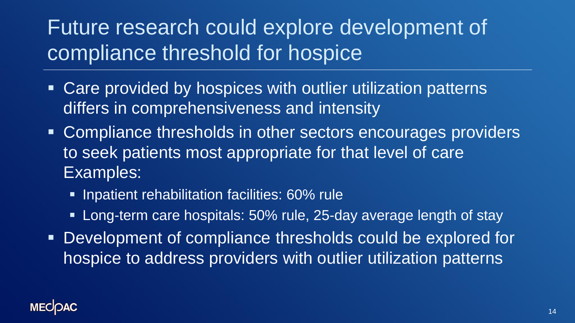## Future research could explore development of compliance threshold for hospice

- Care provided by hospices with outlier utilization patterns differs in comprehensiveness and intensity
- Compliance thresholds in other sectors encourages providers to seek patients most appropriate for that level of care Examples:
	- **EXECT:** Inpatient rehabilitation facilities: 60% rule
	- **EXTERN** Care hospitals: 50% rule, 25-day average length of stay
- **Development of compliance thresholds could be explored for** hospice to address providers with outlier utilization patterns

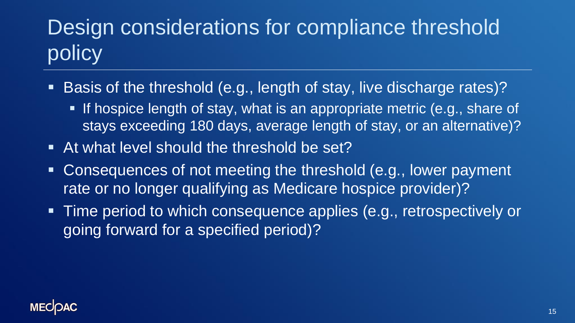# Design considerations for compliance threshold policy

- Basis of the threshold (e.g., length of stay, live discharge rates)?
	- **.** If hospice length of stay, what is an appropriate metric (e.g., share of stays exceeding 180 days, average length of stay, or an alternative)?
- At what level should the threshold be set?
- Consequences of not meeting the threshold (e.g., lower payment rate or no longer qualifying as Medicare hospice provider)?
- Time period to which consequence applies (e.g., retrospectively or going forward for a specified period)?